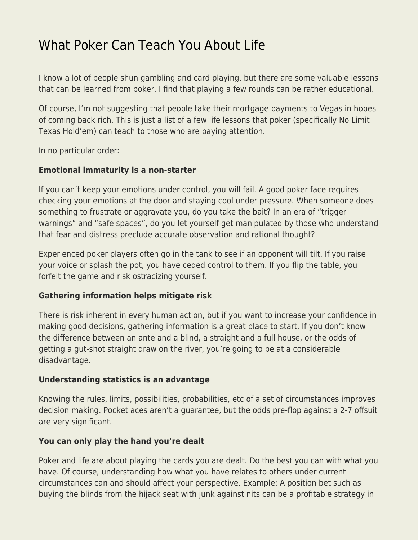# [What Poker Can Teach You About Life](https://everything-voluntary.com/poker-teach-about-life)

I know a lot of people shun gambling and card playing, but there are some valuable lessons that can be learned from poker. I find that playing a few rounds can be rather educational.

Of course, I'm not suggesting that people take their mortgage payments to Vegas in hopes of coming back rich. This is just a list of a few life lessons that poker (specifically No Limit Texas Hold'em) can teach to those who are paying attention.

In no particular order:

#### **Emotional immaturity is a non-starter**

If you can't keep your emotions under control, you will fail. A good poker face requires checking your emotions at the door and staying cool under pressure. When someone does something to frustrate or aggravate you, do you take the bait? In an era of "trigger warnings" and "safe spaces", do you let yourself get manipulated by those who understand that fear and distress preclude accurate observation and rational thought?

Experienced poker players often go in the tank to see if an opponent will tilt. If you raise your voice or splash the pot, you have ceded control to them. If you flip the table, you forfeit the game and risk ostracizing yourself.

#### **Gathering information helps mitigate risk**

There is risk inherent in every human action, but if you want to increase your confidence in making good decisions, gathering information is a great place to start. If you don't know the difference between an ante and a blind, a straight and a full house, or the odds of getting a gut-shot straight draw on the river, you're going to be at a considerable disadvantage.

## **Understanding statistics is an advantage**

Knowing the rules, limits, possibilities, probabilities, etc of a set of circumstances improves decision making. Pocket aces aren't a guarantee, but the odds pre-flop against a 2-7 offsuit are very significant.

## **You can only play the hand you're dealt**

Poker and life are about playing the cards you are dealt. Do the best you can with what you have. Of course, understanding how what you have relates to others under current circumstances can and should affect your perspective. Example: A position bet such as buying the blinds from the hijack seat with junk against nits can be a profitable strategy in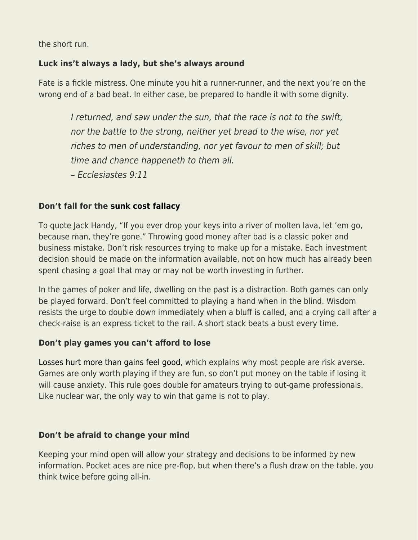the short run.

## **Luck ins't always a lady, but she's always around**

Fate is a fickle mistress. One minute you hit a runner-runner, and the next you're on the wrong end of a bad beat. In either case, be prepared to handle it with some dignity.

I returned, and saw under the sun, that the race is not to the swift, nor the battle to the strong, neither yet bread to the wise, nor yet riches to men of understanding, nor yet favour to men of skill; but time and chance happeneth to them all.

– Ecclesiastes 9:11

# **Don't fall for the [sunk cost fallacy](https://en.wikipedia.org/wiki/Escalation_of_commitment)**

To quote Jack Handy, "If you ever drop your keys into a river of molten lava, let 'em go, because man, they're gone." Throwing good money after bad is a classic poker and business mistake. Don't risk resources trying to make up for a mistake. Each investment decision should be made on the information available, not on how much has already been spent chasing a goal that may or may not be worth investing in further.

In the games of poker and life, dwelling on the past is a distraction. Both games can only be played forward. Don't feel committed to playing a hand when in the blind. Wisdom resists the urge to double down immediately when a bluff is called, and a crying call after a check-raise is an express ticket to the rail. A short stack beats a bust every time.

## **Don't play games you can't afford to lose**

[Losses hurt more than gains feel good](https://en.wikipedia.org/wiki/Prospect_theory), which explains why most people are risk averse. Games are only worth playing if they are fun, so don't put money on the table if losing it will cause anxiety. This rule goes double for amateurs trying to out-game professionals. Like nuclear war, the only way to win that game is not to play.

## **Don't be afraid to change your mind**

Keeping your mind open will allow your strategy and decisions to be informed by new information. Pocket aces are nice pre-flop, but when there's a flush draw on the table, you think twice before going all-in.